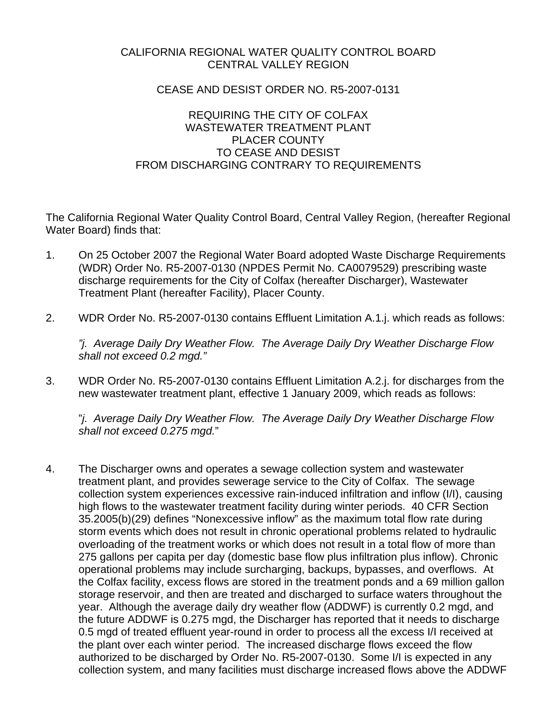# CALIFORNIA REGIONAL WATER QUALITY CONTROL BOARD CENTRAL VALLEY REGION

## CEASE AND DESIST ORDER NO. R5-2007-0131

## REQUIRING THE CITY OF COLFAX WASTEWATER TREATMENT PI ANT PLACER COUNTY TO CEASE AND DESIST FROM DISCHARGING CONTRARY TO REQUIREMENTS

The California Regional Water Quality Control Board, Central Valley Region, (hereafter Regional Water Board) finds that:

- 1. On 25 October 2007 the Regional Water Board adopted Waste Discharge Requirements (WDR) Order No. R5-2007-0130 (NPDES Permit No. CA0079529) prescribing waste discharge requirements for the City of Colfax (hereafter Discharger), Wastewater Treatment Plant (hereafter Facility), Placer County.
- 2. WDR Order No. R5-2007-0130 contains Effluent Limitation A.1.j. which reads as follows:

*"j. Average Daily Dry Weather Flow. The Average Daily Dry Weather Discharge Flow shall not exceed 0.2 mgd."*

3. WDR Order No. R5-2007-0130 contains Effluent Limitation A.2.j. for discharges from the new wastewater treatment plant, effective 1 January 2009, which reads as follows:

"*j. Average Daily Dry Weather Flow. The Average Daily Dry Weather Discharge Flow shall not exceed 0.275 mgd.*"

4. The Discharger owns and operates a sewage collection system and wastewater treatment plant, and provides sewerage service to the City of Colfax. The sewage collection system experiences excessive rain-induced infiltration and inflow (I/I), causing high flows to the wastewater treatment facility during winter periods. 40 CFR Section 35.2005(b)(29) defines "Nonexcessive inflow" as the maximum total flow rate during storm events which does not result in chronic operational problems related to hydraulic overloading of the treatment works or which does not result in a total flow of more than 275 gallons per capita per day (domestic base flow plus infiltration plus inflow). Chronic operational problems may include surcharging, backups, bypasses, and overflows. At the Colfax facility, excess flows are stored in the treatment ponds and a 69 million gallon storage reservoir, and then are treated and discharged to surface waters throughout the year. Although the average daily dry weather flow (ADDWF) is currently 0.2 mgd, and the future ADDWF is 0.275 mgd, the Discharger has reported that it needs to discharge 0.5 mgd of treated effluent year-round in order to process all the excess I/I received at the plant over each winter period. The increased discharge flows exceed the flow authorized to be discharged by Order No. R5-2007-0130. Some I/I is expected in any collection system, and many facilities must discharge increased flows above the ADDWF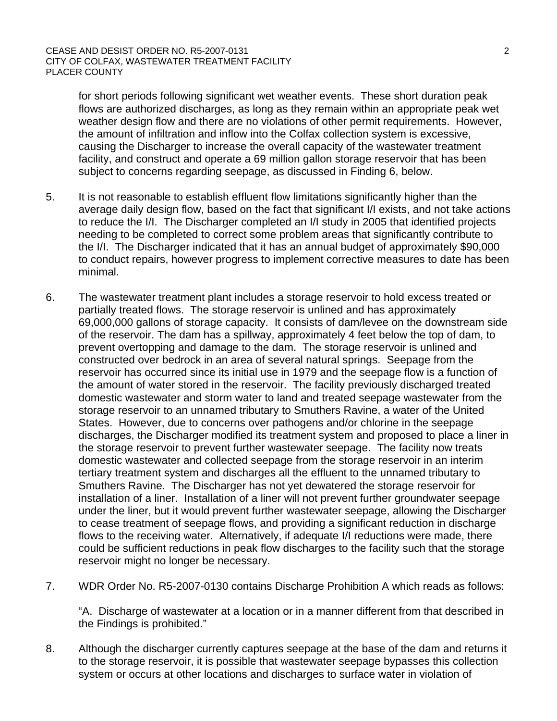for short periods following significant wet weather events. These short duration peak flows are authorized discharges, as long as they remain within an appropriate peak wet weather design flow and there are no violations of other permit requirements. However, the amount of infiltration and inflow into the Colfax collection system is excessive, causing the Discharger to increase the overall capacity of the wastewater treatment facility, and construct and operate a 69 million gallon storage reservoir that has been subject to concerns regarding seepage, as discussed in Finding 6, below.

- 5. It is not reasonable to establish effluent flow limitations significantly higher than the average daily design flow, based on the fact that significant I/I exists, and not take actions to reduce the I/I. The Discharger completed an I/I study in 2005 that identified projects needing to be completed to correct some problem areas that significantly contribute to the I/I. The Discharger indicated that it has an annual budget of approximately \$90,000 to conduct repairs, however progress to implement corrective measures to date has been minimal.
- 6. The wastewater treatment plant includes a storage reservoir to hold excess treated or partially treated flows. The storage reservoir is unlined and has approximately 69,000,000 gallons of storage capacity. It consists of dam/levee on the downstream side of the reservoir. The dam has a spillway, approximately 4 feet below the top of dam, to prevent overtopping and damage to the dam. The storage reservoir is unlined and constructed over bedrock in an area of several natural springs. Seepage from the reservoir has occurred since its initial use in 1979 and the seepage flow is a function of the amount of water stored in the reservoir. The facility previously discharged treated domestic wastewater and storm water to land and treated seepage wastewater from the storage reservoir to an unnamed tributary to Smuthers Ravine, a water of the United States. However, due to concerns over pathogens and/or chlorine in the seepage discharges, the Discharger modified its treatment system and proposed to place a liner in the storage reservoir to prevent further wastewater seepage. The facility now treats domestic wastewater and collected seepage from the storage reservoir in an interim tertiary treatment system and discharges all the effluent to the unnamed tributary to Smuthers Ravine. The Discharger has not yet dewatered the storage reservoir for installation of a liner. Installation of a liner will not prevent further groundwater seepage under the liner, but it would prevent further wastewater seepage, allowing the Discharger to cease treatment of seepage flows, and providing a significant reduction in discharge flows to the receiving water. Alternatively, if adequate I/I reductions were made, there could be sufficient reductions in peak flow discharges to the facility such that the storage reservoir might no longer be necessary.
- 7. WDR Order No. R5-2007-0130 contains Discharge Prohibition A which reads as follows:

"A. Discharge of wastewater at a location or in a manner different from that described in the Findings is prohibited."

8. Although the discharger currently captures seepage at the base of the dam and returns it to the storage reservoir, it is possible that wastewater seepage bypasses this collection system or occurs at other locations and discharges to surface water in violation of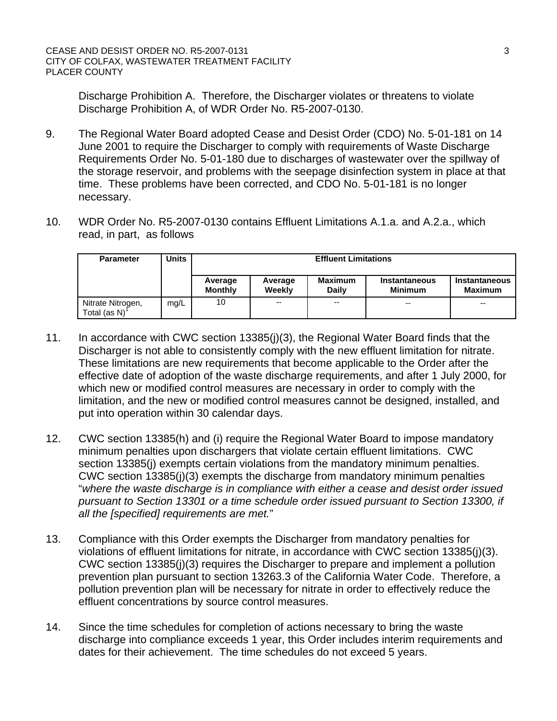Discharge Prohibition A. Therefore, the Discharger violates or threatens to violate Discharge Prohibition A, of WDR Order No. R5-2007-0130.

- 9. The Regional Water Board adopted Cease and Desist Order (CDO) No. 5-01-181 on 14 June 2001 to require the Discharger to comply with requirements of Waste Discharge Requirements Order No. 5-01-180 due to discharges of wastewater over the spillway of the storage reservoir, and problems with the seepage disinfection system in place at that time. These problems have been corrected, and CDO No. 5-01-181 is no longer necessary.
- 10. WDR Order No. R5-2007-0130 contains Effluent Limitations A.1.a. and A.2.a., which read, in part, as follows

| <b>Parameter</b>                  | Units | <b>Effluent Limitations</b> |                          |                                |                                        |                                        |
|-----------------------------------|-------|-----------------------------|--------------------------|--------------------------------|----------------------------------------|----------------------------------------|
|                                   |       | Average<br><b>Monthly</b>   | Average<br>Weekly        | <b>Maximum</b><br><b>Daily</b> | <b>Instantaneous</b><br><b>Minimum</b> | <b>Instantaneous</b><br><b>Maximum</b> |
| Nitrate Nitrogen,<br>Total (as N) | mg/L  | 10                          | $\overline{\phantom{a}}$ | $- -$                          | $-$                                    | $- -$                                  |

- 11. In accordance with CWC section 13385(j)(3), the Regional Water Board finds that the Discharger is not able to consistently comply with the new effluent limitation for nitrate. These limitations are new requirements that become applicable to the Order after the effective date of adoption of the waste discharge requirements, and after 1 July 2000, for which new or modified control measures are necessary in order to comply with the limitation, and the new or modified control measures cannot be designed, installed, and put into operation within 30 calendar days.
- 12. CWC section 13385(h) and (i) require the Regional Water Board to impose mandatory minimum penalties upon dischargers that violate certain effluent limitations. CWC section 13385(i) exempts certain violations from the mandatory minimum penalties. CWC section 13385(j)(3) exempts the discharge from mandatory minimum penalties "*where the waste discharge is in compliance with either a cease and desist order issued pursuant to Section 13301 or a time schedule order issued pursuant to Section 13300, if all the [specified] requirements are met.*"
- 13. Compliance with this Order exempts the Discharger from mandatory penalties for violations of effluent limitations for nitrate, in accordance with CWC section 13385(j)(3). CWC section 13385(j)(3) requires the Discharger to prepare and implement a pollution prevention plan pursuant to section 13263.3 of the California Water Code. Therefore, a pollution prevention plan will be necessary for nitrate in order to effectively reduce the effluent concentrations by source control measures.
- 14. Since the time schedules for completion of actions necessary to bring the waste discharge into compliance exceeds 1 year, this Order includes interim requirements and dates for their achievement. The time schedules do not exceed 5 years.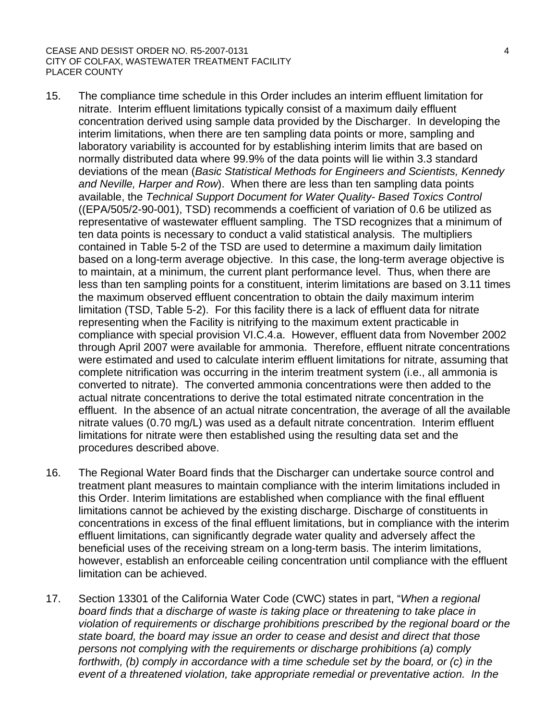#### CEASE AND DESIST ORDER NO. R5-2007-0131 4 CITY OF COLFAX, WASTEWATER TREATMENT FACILITY PLACER COUNTY

- 15. The compliance time schedule in this Order includes an interim effluent limitation for nitrate. Interim effluent limitations typically consist of a maximum daily effluent concentration derived using sample data provided by the Discharger. In developing the interim limitations, when there are ten sampling data points or more, sampling and laboratory variability is accounted for by establishing interim limits that are based on normally distributed data where 99.9% of the data points will lie within 3.3 standard deviations of the mean (*Basic Statistical Methods for Engineers and Scientists, Kennedy and Neville, Harper and Row*). When there are less than ten sampling data points available, the *Technical Support Document for Water Quality- Based Toxics Control*  ((EPA/505/2-90-001), TSD) recommends a coefficient of variation of 0.6 be utilized as representative of wastewater effluent sampling. The TSD recognizes that a minimum of ten data points is necessary to conduct a valid statistical analysis. The multipliers contained in Table 5-2 of the TSD are used to determine a maximum daily limitation based on a long-term average objective. In this case, the long-term average objective is to maintain, at a minimum, the current plant performance level. Thus, when there are less than ten sampling points for a constituent, interim limitations are based on 3.11 times the maximum observed effluent concentration to obtain the daily maximum interim limitation (TSD, Table 5-2). For this facility there is a lack of effluent data for nitrate representing when the Facility is nitrifying to the maximum extent practicable in compliance with special provision VI.C.4.a. However, effluent data from November 2002 through April 2007 were available for ammonia. Therefore, effluent nitrate concentrations were estimated and used to calculate interim effluent limitations for nitrate, assuming that complete nitrification was occurring in the interim treatment system (i.e., all ammonia is converted to nitrate). The converted ammonia concentrations were then added to the actual nitrate concentrations to derive the total estimated nitrate concentration in the effluent. In the absence of an actual nitrate concentration, the average of all the available nitrate values (0.70 mg/L) was used as a default nitrate concentration. Interim effluent limitations for nitrate were then established using the resulting data set and the procedures described above.
- 16. The Regional Water Board finds that the Discharger can undertake source control and treatment plant measures to maintain compliance with the interim limitations included in this Order. Interim limitations are established when compliance with the final effluent limitations cannot be achieved by the existing discharge. Discharge of constituents in concentrations in excess of the final effluent limitations, but in compliance with the interim effluent limitations, can significantly degrade water quality and adversely affect the beneficial uses of the receiving stream on a long-term basis. The interim limitations, however, establish an enforceable ceiling concentration until compliance with the effluent limitation can be achieved.
- 17. Section 13301 of the California Water Code (CWC) states in part, "*When a regional board finds that a discharge of waste is taking place or threatening to take place in violation of requirements or discharge prohibitions prescribed by the regional board or the state board, the board may issue an order to cease and desist and direct that those persons not complying with the requirements or discharge prohibitions (a) comply forthwith, (b) comply in accordance with a time schedule set by the board, or (c) in the event of a threatened violation, take appropriate remedial or preventative action. In the*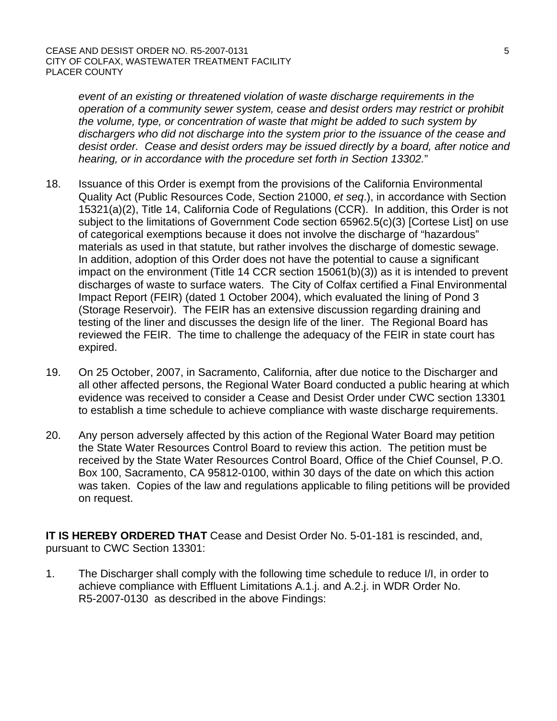*event of an existing or threatened violation of waste discharge requirements in the operation of a community sewer system, cease and desist orders may restrict or prohibit the volume, type, or concentration of waste that might be added to such system by dischargers who did not discharge into the system prior to the issuance of the cease and desist order. Cease and desist orders may be issued directly by a board, after notice and hearing, or in accordance with the procedure set forth in Section 13302.*"

- 18. Issuance of this Order is exempt from the provisions of the California Environmental Quality Act (Public Resources Code, Section 21000, *et seq*.), in accordance with Section 15321(a)(2), Title 14, California Code of Regulations (CCR). In addition, this Order is not subject to the limitations of Government Code section 65962.5(c)(3) [Cortese List] on use of categorical exemptions because it does not involve the discharge of "hazardous" materials as used in that statute, but rather involves the discharge of domestic sewage. In addition, adoption of this Order does not have the potential to cause a significant impact on the environment (Title 14 CCR section 15061(b)(3)) as it is intended to prevent discharges of waste to surface waters. The City of Colfax certified a Final Environmental Impact Report (FEIR) (dated 1 October 2004), which evaluated the lining of Pond 3 (Storage Reservoir). The FEIR has an extensive discussion regarding draining and testing of the liner and discusses the design life of the liner. The Regional Board has reviewed the FEIR. The time to challenge the adequacy of the FEIR in state court has expired.
- 19. On 25 October, 2007, in Sacramento, California, after due notice to the Discharger and all other affected persons, the Regional Water Board conducted a public hearing at which evidence was received to consider a Cease and Desist Order under CWC section 13301 to establish a time schedule to achieve compliance with waste discharge requirements.
- 20. Any person adversely affected by this action of the Regional Water Board may petition the State Water Resources Control Board to review this action. The petition must be received by the State Water Resources Control Board, Office of the Chief Counsel, P.O. Box 100, Sacramento, CA 95812-0100, within 30 days of the date on which this action was taken. Copies of the law and regulations applicable to filing petitions will be provided on request.

**IT IS HEREBY ORDERED THAT** Cease and Desist Order No. 5-01-181 is rescinded, and, pursuant to CWC Section 13301:

1. The Discharger shall comply with the following time schedule to reduce I/I, in order to achieve compliance with Effluent Limitations A.1.j. and A.2.j. in WDR Order No. R5-2007-0130 as described in the above Findings: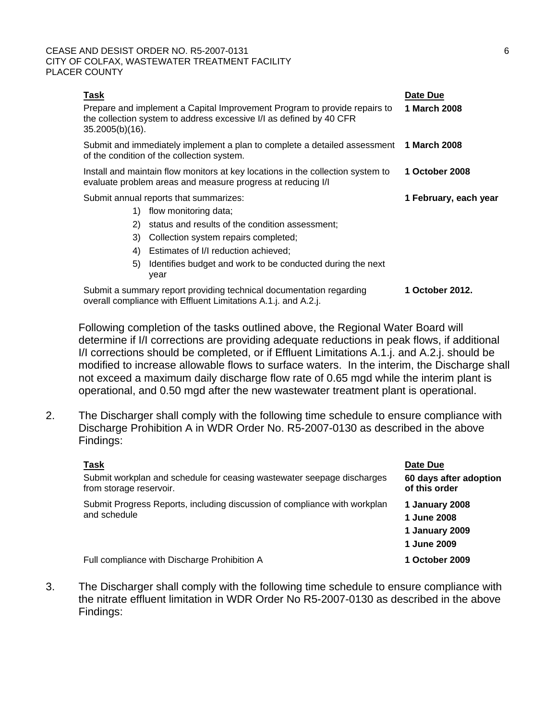### CEASE AND DESIST ORDER NO. R5-2007-0131 6 CITY OF COLFAX, WASTEWATER TREATMENT FACILITY PLACER COUNTY

| Task<br>$35.2005(b)(16)$ .             | Prepare and implement a Capital Improvement Program to provide repairs to<br>the collection system to address excessive I/I as defined by 40 CFR | Date Due<br>1 March 2008 |
|----------------------------------------|--------------------------------------------------------------------------------------------------------------------------------------------------|--------------------------|
|                                        | Submit and immediately implement a plan to complete a detailed assessment<br>of the condition of the collection system.                          | 1 March 2008             |
|                                        | Install and maintain flow monitors at key locations in the collection system to<br>evaluate problem areas and measure progress at reducing I/I   | 1 October 2008           |
| Submit annual reports that summarizes: |                                                                                                                                                  | 1 February, each year    |
| 1)                                     | flow monitoring data;                                                                                                                            |                          |
| 2)                                     | status and results of the condition assessment;                                                                                                  |                          |
| 3)                                     | Collection system repairs completed;                                                                                                             |                          |
| 4)                                     | Estimates of I/I reduction achieved;                                                                                                             |                          |
| 5)                                     | Identifies budget and work to be conducted during the next<br>year                                                                               |                          |
|                                        | Submit a summary report providing technical documentation regarding<br>overall compliance with Effluent Limitations A.1.j. and A.2.j.            | 1 October 2012.          |

 Following completion of the tasks outlined above, the Regional Water Board will determine if I/I corrections are providing adequate reductions in peak flows, if additional I/I corrections should be completed, or if Effluent Limitations A.1.j. and A.2.j. should be modified to increase allowable flows to surface waters. In the interim, the Discharge shall not exceed a maximum daily discharge flow rate of 0.65 mgd while the interim plant is operational, and 0.50 mgd after the new wastewater treatment plant is operational.

2. The Discharger shall comply with the following time schedule to ensure compliance with Discharge Prohibition A in WDR Order No. R5-2007-0130 as described in the above Findings:

| Task                                                                                              | Date Due                                                       |
|---------------------------------------------------------------------------------------------------|----------------------------------------------------------------|
| Submit workplan and schedule for ceasing wastewater seepage discharges<br>from storage reservoir. | 60 days after adoption<br>of this order                        |
| Submit Progress Reports, including discussion of compliance with workplan<br>and schedule         | 1 January 2008<br>1 June 2008<br>1 January 2009<br>1 June 2009 |
| Full compliance with Discharge Prohibition A                                                      | 1 October 2009                                                 |

3. The Discharger shall comply with the following time schedule to ensure compliance with the nitrate effluent limitation in WDR Order No R5-2007-0130 as described in the above Findings: